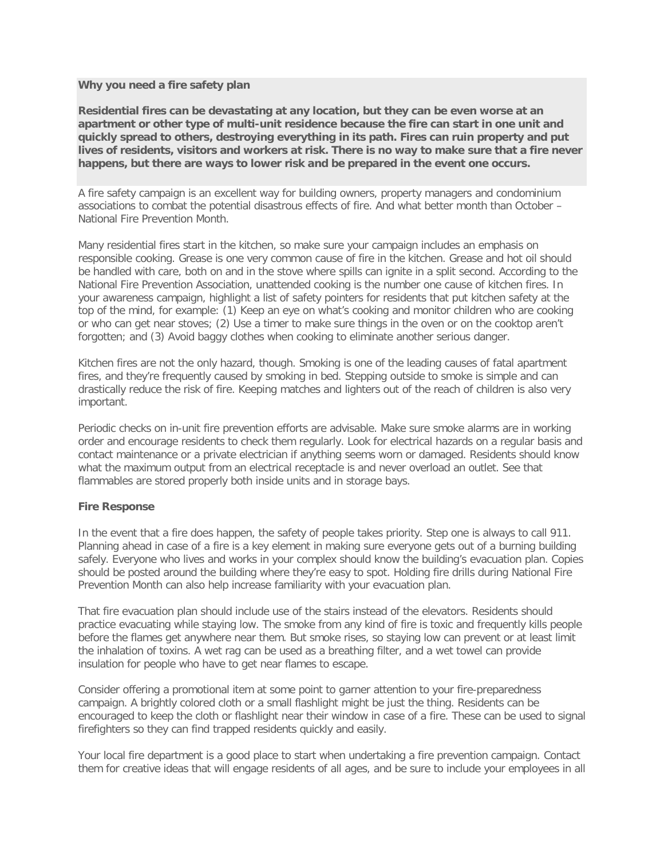## **Why you need a fire safety plan**

**Residential fires can be devastating at any location, but they can be even worse at an apartment or other type of multi-unit residence because the fire can start in one unit and quickly spread to others, destroying everything in its path. Fires can ruin property and put lives of residents, visitors and workers at risk. There is no way to make sure that a fire never happens, but there are ways to lower risk and be prepared in the event one occurs.**

A fire safety campaign is an excellent way for building owners, property managers and condominium associations to combat the potential disastrous effects of fire. And what better month than October – National Fire Prevention Month.

Many residential fires start in the kitchen, so make sure your campaign includes an emphasis on responsible cooking. Grease is one very common cause of fire in the kitchen. Grease and hot oil should be handled with care, both on and in the stove where spills can ignite in a split second. According to the National Fire Prevention Association, unattended cooking is the number one cause of kitchen fires. In your awareness campaign, highlight a list of safety pointers for residents that put kitchen safety at the top of the mind, for example: (1) Keep an eye on what's cooking and monitor children who are cooking or who can get near stoves; (2) Use a timer to make sure things in the oven or on the cooktop aren't forgotten; and (3) Avoid baggy clothes when cooking to eliminate another serious danger.

Kitchen fires are not the only hazard, though. Smoking is one of the leading causes of fatal apartment fires, and they're frequently caused by smoking in bed. Stepping outside to smoke is simple and can drastically reduce the risk of fire. Keeping matches and lighters out of the reach of children is also very important.

Periodic checks on in-unit fire prevention efforts are advisable. Make sure smoke alarms are in working order and encourage residents to check them regularly. Look for electrical hazards on a regular basis and contact maintenance or a private electrician if anything seems worn or damaged. Residents should know what the maximum output from an electrical receptacle is and never overload an outlet. See that flammables are stored properly both inside units and in storage bays.

## **Fire Response**

In the event that a fire does happen, the safety of people takes priority. Step one is always to call 911. Planning ahead in case of a fire is a key element in making sure everyone gets out of a burning building safely. Everyone who lives and works in your complex should know the building's evacuation plan. Copies should be posted around the building where they're easy to spot. Holding fire drills during National Fire Prevention Month can also help increase familiarity with your evacuation plan.

That fire evacuation plan should include use of the stairs instead of the elevators. Residents should practice evacuating while staying low. The smoke from any kind of fire is toxic and frequently kills people before the flames get anywhere near them. But smoke rises, so staying low can prevent or at least limit the inhalation of toxins. A wet rag can be used as a breathing filter, and a wet towel can provide insulation for people who have to get near flames to escape.

Consider offering a promotional item at some point to garner attention to your fire-preparedness campaign. A brightly colored cloth or a small flashlight might be just the thing. Residents can be encouraged to keep the cloth or flashlight near their window in case of a fire. These can be used to signal firefighters so they can find trapped residents quickly and easily.

Your local fire department is a good place to start when undertaking a fire prevention campaign. Contact them for creative ideas that will engage residents of all ages, and be sure to include your employees in all